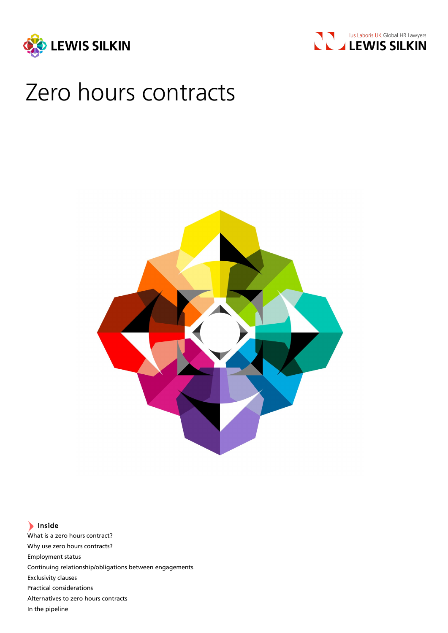



# Zero hours contracts



## Inside

What is a zero hours contract? Why use zero hours contracts? Employment status Continuing relationship/obligations between engagements Exclusivity clauses Practical considerations Alternatives to zero hours contracts In the pipeline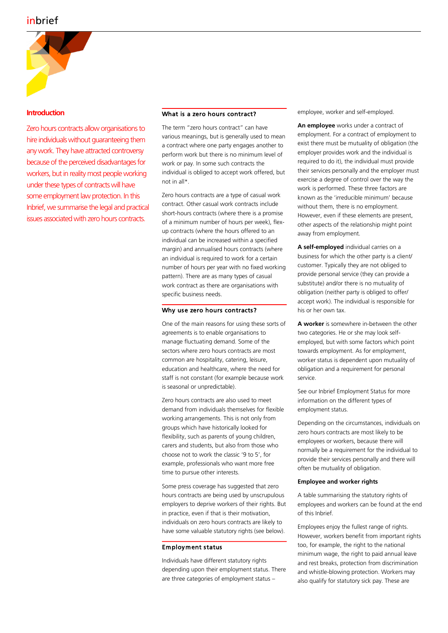

## **Introduction**

Zero hours contracts allow organisations to hire individuals without quaranteeing them any work. They have attracted controversy because of the perceived disadvantages for workers, but in reality most people working under these types of contracts will have some employment law protection. In this Inbrief, we summarise the legal and practical issues associated with zero hours contracts.

### What is a zero hours contract?

The term "zero hours contract" can have various meanings, but is generally used to mean a contract where one party engages another to perform work but there is no minimum level of work or pay. In some such contracts the individual is obliged to accept work offered, but not in all\*.

Zero hours contracts are a type of casual work contract. Other casual work contracts include short-hours contracts (where there is a promise of a minimum number of hours per week), flexup contracts (where the hours offered to an individual can be increased within a specified margin) and annualised hours contracts (where an individual is required to work for a certain number of hours per year with no fixed working pattern). There are as many types of casual work contract as there are organisations with specific business needs.

#### Why use zero hours contracts?

One of the main reasons for using these sorts of agreements is to enable organisations to manage fluctuating demand. Some of the sectors where zero hours contracts are most common are hospitality, catering, leisure, education and healthcare, where the need for staff is not constant (for example because work is seasonal or unpredictable).

Zero hours contracts are also used to meet demand from individuals themselves for flexible working arrangements. This is not only from groups which have historically looked for flexibility, such as parents of young children, carers and students, but also from those who choose not to work the classic '9 to 5', for example, professionals who want more free time to pursue other interests.

Some press coverage has suggested that zero hours contracts are being used by unscrupulous employers to deprive workers of their rights. But in practice, even if that is their motivation, individuals on zero hours contracts are likely to have some valuable statutory rights (see below).

## Employment status

Individuals have different statutory rights depending upon their employment status. There are three categories of employment status –

employee, worker and self-employed.

**An employee** works under a contract of employment. For a contract of employment to exist there must be mutuality of obligation (the employer provides work and the individual is required to do it), the individual must provide their services personally and the employer must exercise a degree of control over the way the work is performed. These three factors are known as the 'irreducible minimum' because without them, there is no employment. However, even if these elements are present, other aspects of the relationship might point away from employment.

**A self-employed** individual carries on a business for which the other party is a client/ customer. Typically they are not obliged to provide personal service (they can provide a substitute) and/or there is no mutuality of obligation (neither party is obliged to offer/ accept work). The individual is responsible for his or her own tax.

**A worker** is somewhere in-between the other two categories. He or she may look selfemployed, but with some factors which point towards employment. As for employment, worker status is dependent upon mutuality of obligation and a requirement for personal service.

See our Inbrief Employment Status for more information on the different types of employment status.

Depending on the circumstances, individuals on zero hours contracts are most likely to be employees or workers, because there will normally be a requirement for the individual to provide their services personally and there will often be mutuality of obligation.

## **Employee and worker rights**

A table summarising the statutory rights of employees and workers can be found at the end of this Inbrief.

Employees enjoy the fullest range of rights. However, workers benefit from important rights too, for example, the right to the national minimum wage, the right to paid annual leave and rest breaks, protection from discrimination and whistle-blowing protection. Workers may also qualify for statutory sick pay. These are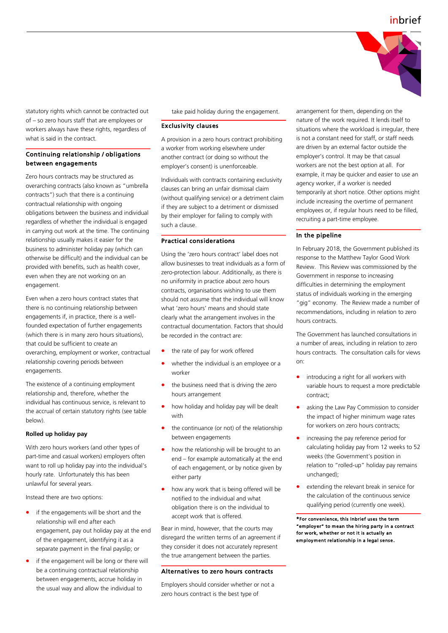

statutory rights which cannot be contracted out of – so zero hours staff that are employees or workers always have these rights, regardless of what is said in the contract.

## Continuing relationship / obligations between engagements

Zero hours contracts may be structured as overarching contracts (also known as "umbrella contracts") such that there is a continuing contractual relationship with ongoing obligations between the business and individual regardless of whether the individual is engaged in carrying out work at the time. The continuing relationship usually makes it easier for the business to administer holiday pay (which can otherwise be difficult) and the individual can be provided with benefits, such as health cover, even when they are not working on an engagement.

Even when a zero hours contract states that there is no continuing relationship between engagements if, in practice, there is a wellfounded expectation of further engagements (which there is in many zero hours situations), that could be sufficient to create an overarching, employment or worker, contractual relationship covering periods between engagements.

The existence of a continuing employment relationship and, therefore, whether the individual has continuous service, is relevant to the accrual of certain statutory rights (see table below).

#### **Rolled up holiday pay**

With zero hours workers (and other types of part-time and casual workers) employers often want to roll up holiday pay into the individual's hourly rate. Unfortunately this has been unlawful for several years.

Instead there are two options:

- if the engagements will be short and the relationship will end after each engagement, pay out holiday pay at the end of the engagement, identifying it as a separate payment in the final payslip; or
- if the engagement will be long or there will be a continuing contractual relationship between engagements, accrue holiday in the usual way and allow the individual to

take paid holiday during the engagement.

#### Exclusivity clauses

A provision in a zero hours contract prohibiting a worker from working elsewhere under another contract (or doing so without the employer's consent) is unenforceable.

Individuals with contracts containing exclusivity clauses can bring an unfair dismissal claim (without qualifying service) or a detriment claim if they are subject to a detriment or dismissed by their employer for failing to comply with such a clause.

### Practical considerations

Using the 'zero hours contract' label does not allow businesses to treat individuals as a form of zero-protection labour. Additionally, as there is no uniformity in practice about zero hours contracts, organisations wishing to use them should not assume that the individual will know what 'zero hours' means and should state clearly what the arrangement involves in the contractual documentation. Factors that should be recorded in the contract are:

- the rate of pay for work offered
- whether the individual is an employee or a worker
- the business need that is driving the zero hours arrangement
- how holiday and holiday pay will be dealt with
- the continuance (or not) of the relationship between engagements
- how the relationship will be brought to an end – for example automatically at the end of each engagement, or by notice given by either party
- how any work that is being offered will be notified to the individual and what obligation there is on the individual to accept work that is offered.

Bear in mind, however, that the courts may disregard the written terms of an agreement if they consider it does not accurately represent the true arrangement between the parties.

#### Alternatives to zero hours contracts

Employers should consider whether or not a zero hours contract is the best type of

arrangement for them, depending on the nature of the work required. It lends itself to situations where the workload is irregular, there is not a constant need for staff, or staff needs are driven by an external factor outside the employer's control. It may be that casual workers are not the best option at all. For example, it may be quicker and easier to use an agency worker, if a worker is needed temporarily at short notice. Other options might include increasing the overtime of permanent employees or, if regular hours need to be filled, recruiting a part-time employee.

## In the pipeline

In February 2018, the Government published its response to the Matthew Taylor Good Work Review. This Review was commissioned by the Government in response to increasing difficulties in determining the employment status of individuals working in the emerging "gig" economy. The Review made a number of recommendations, including in relation to zero hours contracts.

The Government has launched consultations in a number of areas, including in relation to zero hours contracts. The consultation calls for views on:

- introducing a right for all workers with variable hours to request a more predictable contract;
- asking the Law Pay Commission to consider the impact of higher minimum wage rates for workers on zero hours contracts;
- increasing the pay reference period for calculating holiday pay from 12 weeks to 52 weeks (the Government's position in relation to "rolled-up" holiday pay remains unchanged);
- extending the relevant break in service for the calculation of the continuous service qualifying period (currently one week).

\*For convenience, this Inbrief uses the term "employer" to mean the hiring party in a contract for work, whether or not it is actually an employment relationship in a legal sense.